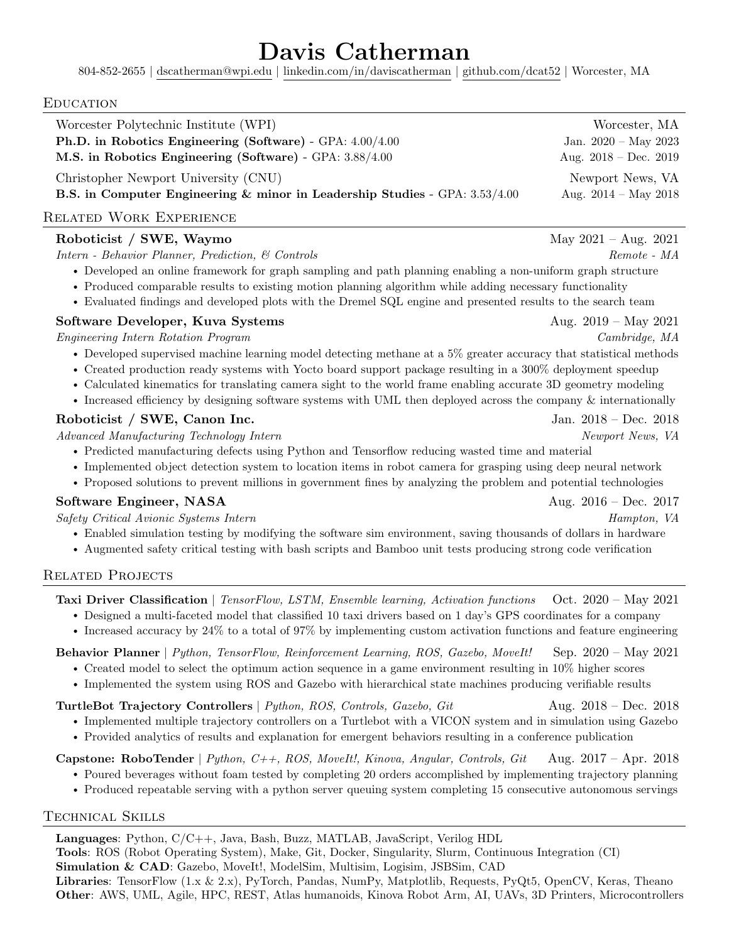# Davis Catherman

804-852-2655 | [dscatherman@wpi.edu](mailto:dscatherman@wpi.edu) | [linkedin.com/in/daviscatherman](https://linkedin.com/in/daviscatherman) | [github.com/dcat52](https://github.com/dcat52) | Worcester, MA

#### **EDUCATION**

| Worcester Polytechnic Institute (WPI)                                                | Worcester, MA                  |
|--------------------------------------------------------------------------------------|--------------------------------|
| Ph.D. in Robotics Engineering (Software) - GPA: $4.00/4.00$                          | Jan. $2020 - May 2023$         |
| M.S. in Robotics Engineering (Software) - GPA: 3.88/4.00                             | Aug. $2018 - Dec. 2019$        |
| Christopher Newport University (CNU)                                                 | Newport News, VA               |
| <b>B.S.</b> in Computer Engineering & minor in Leadership Studies - GPA: $3.53/4.00$ | Aug. $2014 - \text{May } 2018$ |
| $\mathbf{u}_{\text{RF}}$ (see $\mathbf{u}_{\text{R}}$ ), $\mathbf{u}_{\text{R}}$     |                                |

# Related Work Experience

# $\textbf{Roboticist}$  / SWE, Waymo  $\text{May } 2021 - \text{Aug. } 2021$

Intern - Behavior Planner, Prediction, & Controls Remote - MA

- Developed an online framework for graph sampling and path planning enabling a non-uniform graph structure
- Produced comparable results to existing motion planning algorithm while adding necessary functionality
- Evaluated findings and developed plots with the Dremel SQL engine and presented results to the search team

## Software Developer, Kuva Systems Aug. 2019 – May 2021

Engineering Intern Rotation Program Cambridge, MA

- Developed supervised machine learning model detecting methane at a 5% greater accuracy that statistical methods
- Created production ready systems with Yocto board support package resulting in a 300% deployment speedup
- Calculated kinematics for translating camera sight to the world frame enabling accurate 3D geometry modeling
- Increased efficiency by designing software systems with UML then deployed across the company  $\&$  internationally

# Roboticist / SWE, Canon Inc. Jan. 2018 – Dec. 2018

Advanced Manufacturing Technology Intern News, VA Newport News, VA

- Predicted manufacturing defects using Python and Tensorflow reducing wasted time and material
- Implemented object detection system to location items in robot camera for grasping using deep neural network
- Proposed solutions to prevent millions in government fines by analyzing the problem and potential technologies

# Software Engineer, NASA  $\text{Aug. } 2016 - \text{Dec. } 2017$

 $S$ afety Critical Avionic Systems Intern Hampton, VA

- Enabled simulation testing by modifying the software sim environment, saving thousands of dollars in hardware
- Augmented safety critical testing with bash scripts and Bamboo unit tests producing strong code verification

# RELATED PROJECTS

Taxi Driver Classification | TensorFlow, LSTM, Ensemble learning, Activation functions Oct. 2020 – May 2021

- Designed a multi-faceted model that classified 10 taxi drivers based on 1 day's GPS coordinates for a company
- Increased accuracy by 24% to a total of 97% by implementing custom activation functions and feature engineering

Behavior Planner | Python, TensorFlow, Reinforcement Learning, ROS, Gazebo, MoveIt! Sep. 2020 – May 2021

- Created model to select the optimum action sequence in a game environment resulting in 10% higher scores
- Implemented the system using ROS and Gazebo with hierarchical state machines producing verifiable results

#### TurtleBot Trajectory Controllers | Python, ROS, Controls, Gazebo, Git Aug. 2018 – Dec. 2018

- Implemented multiple trajectory controllers on a Turtlebot with a VICON system and in simulation using Gazebo
- Provided analytics of results and explanation for emergent behaviors resulting in a conference publication

**Capstone: RoboTender** | Python,  $C_{++}$ , ROS, MoveIt!, Kinova, Angular, Controls, Git Aug. 2017 – Apr. 2018

- Poured beverages without foam tested by completing 20 orders accomplished by implementing trajectory planning
- Produced repeatable serving with a python server queuing system completing 15 consecutive autonomous servings

#### Technical Skills

Languages: Python, C/C++, Java, Bash, Buzz, MATLAB, JavaScript, Verilog HDL Tools: ROS (Robot Operating System), Make, Git, Docker, Singularity, Slurm, Continuous Integration (CI) Simulation & CAD: Gazebo, MoveIt!, ModelSim, Multisim, Logisim, JSBSim, CAD Libraries: TensorFlow (1.x & 2.x), PyTorch, Pandas, NumPy, Matplotlib, Requests, PyQt5, OpenCV, Keras, Theano Other: AWS, UML, Agile, HPC, REST, Atlas humanoids, Kinova Robot Arm, AI, UAVs, 3D Printers, Microcontrollers